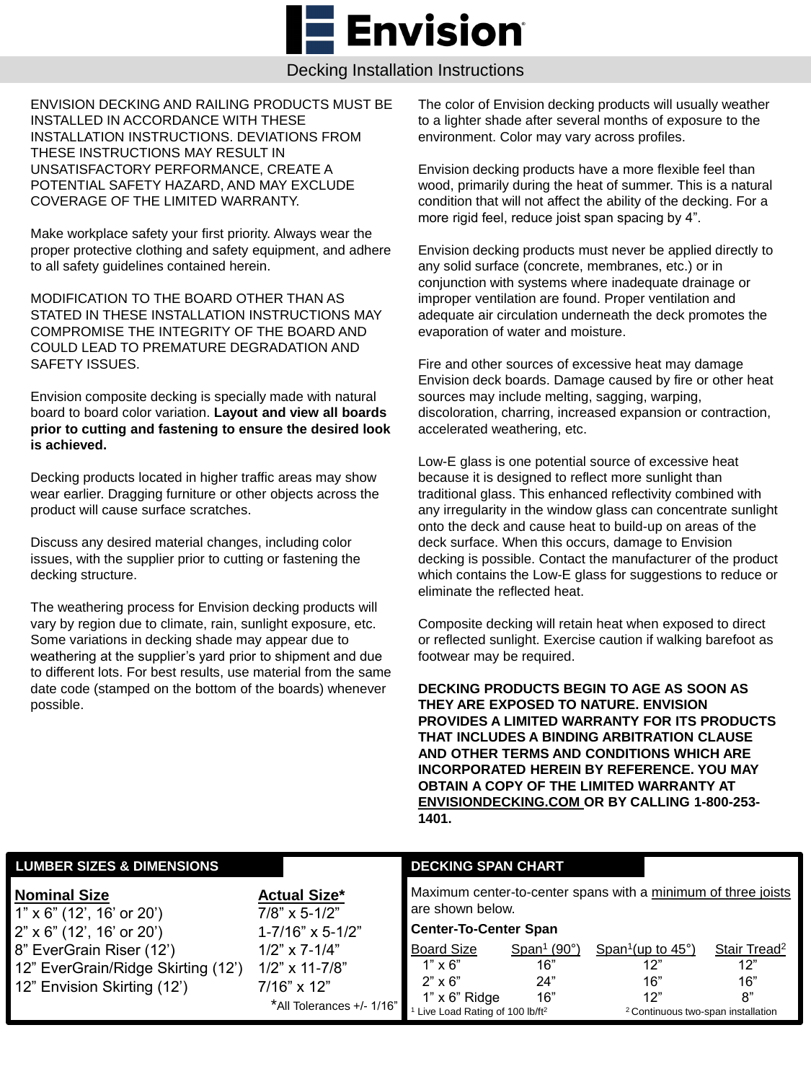**Envision** 

Decking Installation Instructions

ENVISION DECKING AND RAILING PRODUCTS MUST BE INSTALLED IN ACCORDANCE WITH THESE INSTALLATION INSTRUCTIONS. DEVIATIONS FROM THESE INSTRUCTIONS MAY RESULT IN UNSATISFACTORY PERFORMANCE, CREATE A POTENTIAL SAFETY HAZARD, AND MAY EXCLUDE COVERAGE OF THE LIMITED WARRANTY.

Make workplace safety your first priority. Always wear the proper protective clothing and safety equipment, and adhere to all safety guidelines contained herein.

MODIFICATION TO THE BOARD OTHER THAN AS STATED IN THESE INSTALLATION INSTRUCTIONS MAY COMPROMISE THE INTEGRITY OF THE BOARD AND COULD LEAD TO PREMATURE DEGRADATION AND SAFETY ISSUES.

Envision composite decking is specially made with natural board to board color variation. **Layout and view all boards prior to cutting and fastening to ensure the desired look is achieved.**

Decking products located in higher traffic areas may show wear earlier. Dragging furniture or other objects across the product will cause surface scratches.

Discuss any desired material changes, including color issues, with the supplier prior to cutting or fastening the decking structure.

The weathering process for Envision decking products will vary by region due to climate, rain, sunlight exposure, etc. Some variations in decking shade may appear due to weathering at the supplier's yard prior to shipment and due to different lots. For best results, use material from the same date code (stamped on the bottom of the boards) whenever possible.

The color of Envision decking products will usually weather to a lighter shade after several months of exposure to the environment. Color may vary across profiles.

Envision decking products have a more flexible feel than wood, primarily during the heat of summer. This is a natural condition that will not affect the ability of the decking. For a more rigid feel, reduce joist span spacing by 4".

Envision decking products must never be applied directly to any solid surface (concrete, membranes, etc.) or in conjunction with systems where inadequate drainage or improper ventilation are found. Proper ventilation and adequate air circulation underneath the deck promotes the evaporation of water and moisture.

Fire and other sources of excessive heat may damage Envision deck boards. Damage caused by fire or other heat sources may include melting, sagging, warping, discoloration, charring, increased expansion or contraction, accelerated weathering, etc.

Low-E glass is one potential source of excessive heat because it is designed to reflect more sunlight than traditional glass. This enhanced reflectivity combined with any irregularity in the window glass can concentrate sunlight onto the deck and cause heat to build-up on areas of the deck surface. When this occurs, damage to Envision decking is possible. Contact the manufacturer of the product which contains the Low-E glass for suggestions to reduce or eliminate the reflected heat.

Composite decking will retain heat when exposed to direct or reflected sunlight. Exercise caution if walking barefoot as footwear may be required.

**DECKING PRODUCTS BEGIN TO AGE AS SOON AS THEY ARE EXPOSED TO NATURE. ENVISION PROVIDES A LIMITED WARRANTY FOR ITS PRODUCTS THAT INCLUDES A BINDING ARBITRATION CLAUSE AND OTHER TERMS AND CONDITIONS WHICH ARE INCORPORATED HEREIN BY REFERENCE. YOU MAY OBTAIN A COPY OF THE LIMITED WARRANTY AT ENVISIONDECKING.COM OR BY CALLING 1-800-253- 1401.**

| <b>LUMBER SIZES &amp; DIMENSIONS</b>                    |                                         | <b>DECKING SPAN CHART</b>                                     |                                    |                                               |                          |
|---------------------------------------------------------|-----------------------------------------|---------------------------------------------------------------|------------------------------------|-----------------------------------------------|--------------------------|
| <b>Nominal Size</b><br>$1" \times 6"$ (12', 16' or 20') | <b>Actual Size*</b><br>$7/8$ " x 5-1/2" | Maximum center-to-center spans with a minimum of three joists |                                    |                                               |                          |
| $2" \times 6"$ (12', 16' or 20')                        | $1 - 7/16$ " x 5-1/2"                   | <b>Center-To-Center Span</b>                                  |                                    |                                               |                          |
| 8" EverGrain Riser (12')                                | $1/2$ " x 7-1/4"                        | <b>Board Size</b>                                             | Span <sup>1</sup> (90 $^{\circ}$ ) | Span <sup>1</sup> (up to $45^{\circ}$ )       | Stair Tread <sup>2</sup> |
| 12" EverGrain/Ridge Skirting (12')                      | $1/2$ " x 11-7/8"                       | $1" \times 6"$                                                | 16"                                | 12"                                           | 12"                      |
| 12" Envision Skirting (12')                             | $7/16$ " x 12"                          | $2" \times 6"$                                                | 24"                                | 16"                                           | 16"                      |
|                                                         | *All Tolerances +/- 1/16"               | $1" \times 6"$ Ridge                                          | 16"                                | 12"                                           | 8"                       |
|                                                         |                                         | Live Load Rating of 100 lb/ft <sup>2</sup>                    |                                    | <sup>2</sup> Continuous two-span installation |                          |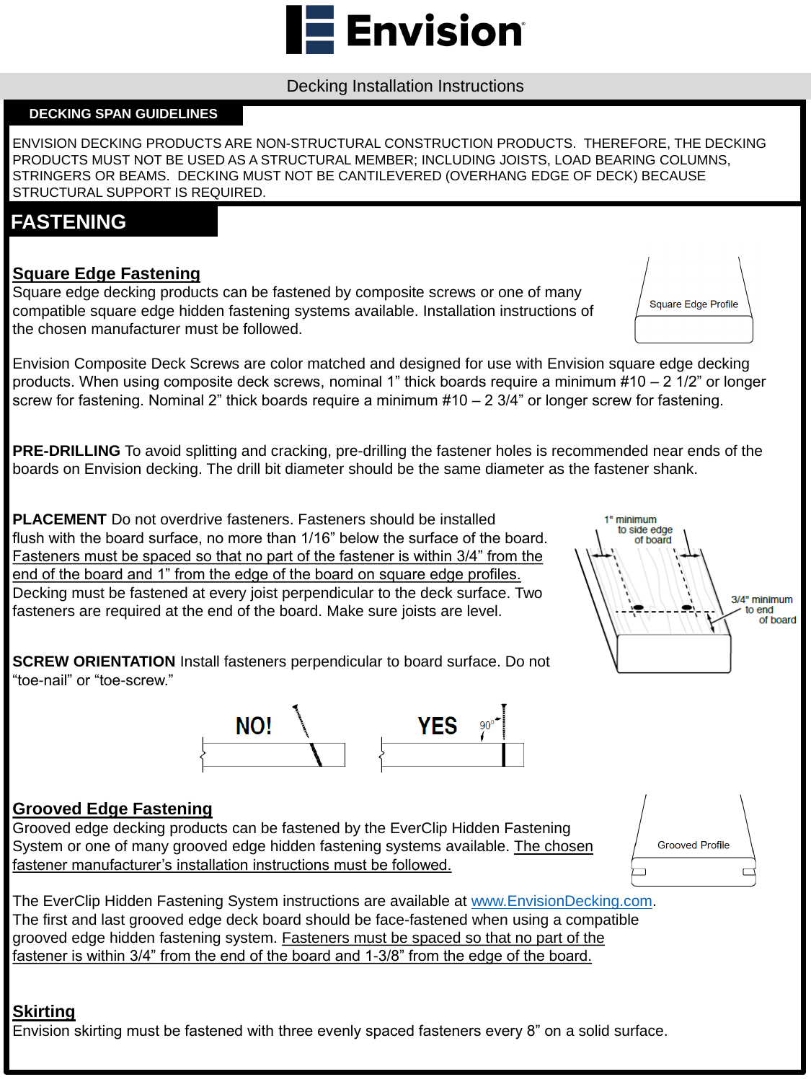#### **Square Edge Fastening**

Square edge decking products can be fastened by composite screws or one of many compatible square edge hidden fastening systems available. Installation instructions of the chosen manufacturer must be followed.

Envision Composite Deck Screws are color matched and designed for use with Envision square edge decking products. When using composite deck screws, nominal 1" thick boards require a minimum #10 – 2 1/2" or longer screw for fastening. Nominal 2" thick boards require a minimum #10 – 2 3/4" or longer screw for fastening.

**PRE-DRILLING** To avoid splitting and cracking, pre-drilling the fastener holes is recommended near ends of the boards on Envision decking. The drill bit diameter should be the same diameter as the fastener shank.

The EverClip Hidden Fastening System instructions are available at [www.EnvisionDecking.com](http://www.envisiondecking.com/). The first and last grooved edge deck board should be face-fastened when using a compatible grooved edge hidden fastening system. Fasteners must be spaced so that no part of the fastener is within 3/4" from the end of the board and 1-3/8" from the edge of the board.

**PLACEMENT** Do not overdrive fasteners. Fasteners should be installed flush with the board surface, no more than 1/16" below the surface of the board. Fasteners must be spaced so that no part of the fastener is within 3/4" from the end of the board and 1" from the edge of the board on square edge profiles. Decking must be fastened at every joist perpendicular to the deck surface. Two fasteners are required at the end of the board. Make sure joists are level.

**SCREW ORIENTATION** Install fasteners perpendicular to board surface. Do not "toe-nail" or "toe-screw."







**Grooved Profile** 





### **Grooved Edge Fastening**

Grooved edge decking products can be fastened by the EverClip Hidden Fastening System or one of many grooved edge hidden fastening systems available. The chosen fastener manufacturer's installation instructions must be followed.

### **Skirting**

Envision skirting must be fastened with three evenly spaced fasteners every 8" on a solid surface.

### **FASTENING**

#### Decking Installation Instructions

**Envision** 

ENVISION DECKING PRODUCTS ARE NON-STRUCTURAL CONSTRUCTION PRODUCTS. THEREFORE, THE DECKING PRODUCTS MUST NOT BE USED AS A STRUCTURAL MEMBER; INCLUDING JOISTS, LOAD BEARING COLUMNS, STRINGERS OR BEAMS. DECKING MUST NOT BE CANTILEVERED (OVERHANG EDGE OF DECK) BECAUSE STRUCTURAL SUPPORT IS REQUIRED.

#### **DECKING SPAN GUIDELINES**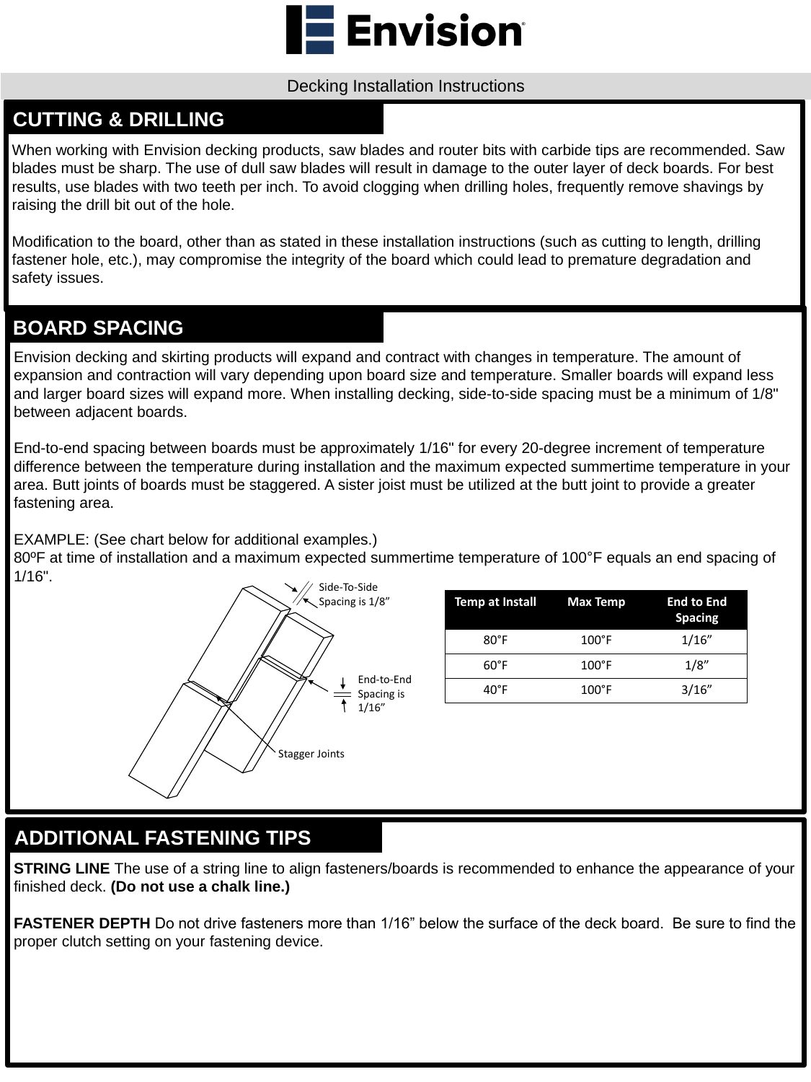When working with Envision decking products, saw blades and router bits with carbide tips are recommended. Saw blades must be sharp. The use of dull saw blades will result in damage to the outer layer of deck boards. For best results, use blades with two teeth per inch. To avoid clogging when drilling holes, frequently remove shavings by raising the drill bit out of the hole.

Modification to the board, other than as stated in these installation instructions (such as cutting to length, drilling fastener hole, etc.), may compromise the integrity of the board which could lead to premature degradation and safety issues.

## **CUTTING & DRILLING**

Envision decking and skirting products will expand and contract with changes in temperature. The amount of expansion and contraction will vary depending upon board size and temperature. Smaller boards will expand less and larger board sizes will expand more. When installing decking, side-to-side spacing must be a minimum of 1/8" between adjacent boards.

**STRING LINE** The use of a string line to align fasteners/boards is recommended to enhance the appearance of your finished deck. **(Do not use a chalk line.)**

End-to-end spacing between boards must be approximately 1/16" for every 20-degree increment of temperature difference between the temperature during installation and the maximum expected summertime temperature in your area. Butt joints of boards must be staggered. A sister joist must be utilized at the butt joint to provide a greater fastening area.

EXAMPLE: (See chart below for additional examples.)

80ºF at time of installation and a maximum expected summertime temperature of 100°F equals an end spacing of 1/16".

# **BOARD SPACING**



| <b>Temp at Install Max Temp</b> |                 | <b>End to End</b><br><b>Spacing</b> |
|---------------------------------|-----------------|-------------------------------------|
| $80^{\circ}$ F                  | $100^{\circ}$ F | 1/16"                               |
| $60^{\circ}$ F                  | $100^{\circ}$ F | 1/8"                                |
| $40^{\circ}$ F                  | $100^{\circ}$ F | 3/16"                               |

**FASTENER DEPTH** Do not drive fasteners more than 1/16" below the surface of the deck board. Be sure to find the proper clutch setting on your fastening device.

# **ADDITIONAL FASTENING TIPS**



#### Decking Installation Instructions